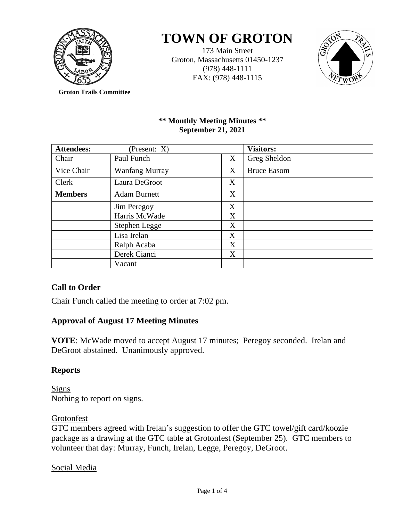

# **TOWN OF GROTON**

173 Main Street Groton, Massachusetts 01450-1237 (978) 448-1111 FAX: (978) 448-1115



**Groton Trails Committee**

# **\*\* Monthly Meeting Minutes \*\* September 21, 2021**

| <b>Attendees:</b><br>(Present: X) |                       | <b>Visitors:</b> |                    |
|-----------------------------------|-----------------------|------------------|--------------------|
| Chair                             | Paul Funch            | X                | Greg Sheldon       |
| Vice Chair                        | <b>Wanfang Murray</b> | X                | <b>Bruce Easom</b> |
| Clerk                             | Laura DeGroot         | X                |                    |
| <b>Members</b>                    | <b>Adam Burnett</b>   | X                |                    |
|                                   | <b>Jim Peregoy</b>    | X                |                    |
|                                   | Harris McWade         | X                |                    |
|                                   | Stephen Legge         | X                |                    |
|                                   | Lisa Irelan           | X                |                    |
|                                   | Ralph Acaba           | X                |                    |
|                                   | Derek Cianci          | X                |                    |
|                                   | Vacant                |                  |                    |

# **Call to Order**

Chair Funch called the meeting to order at 7:02 pm.

# **Approval of August 17 Meeting Minutes**

**VOTE**: McWade moved to accept August 17 minutes; Peregoy seconded. Irelan and DeGroot abstained. Unanimously approved.

# **Reports**

Signs Nothing to report on signs.

# **Grotonfest**

GTC members agreed with Irelan's suggestion to offer the GTC towel/gift card/koozie package as a drawing at the GTC table at Grotonfest (September 25). GTC members to volunteer that day: Murray, Funch, Irelan, Legge, Peregoy, DeGroot.

# Social Media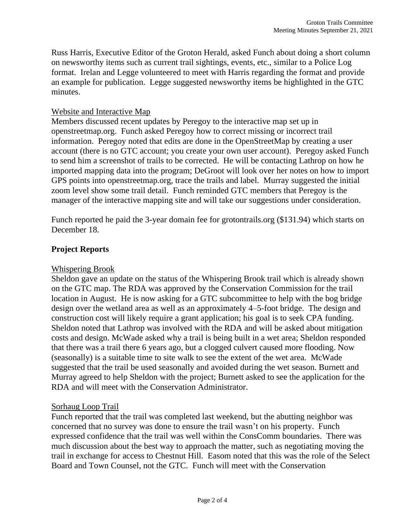Russ Harris, Executive Editor of the Groton Herald, asked Funch about doing a short column on newsworthy items such as current trail sightings, events, etc., similar to a Police Log format. Irelan and Legge volunteered to meet with Harris regarding the format and provide an example for publication. Legge suggested newsworthy items be highlighted in the GTC minutes.

## Website and Interactive Map

Members discussed recent updates by Peregoy to the interactive map set up in openstreetmap.org. Funch asked Peregoy how to correct missing or incorrect trail information. Peregoy noted that edits are done in the OpenStreetMap by creating a user account (there is no GTC account; you create your own user account). Peregoy asked Funch to send him a screenshot of trails to be corrected. He will be contacting Lathrop on how he imported mapping data into the program; DeGroot will look over her notes on how to import GPS points into openstreetmap.org, trace the trails and label. Murray suggested the initial zoom level show some trail detail. Funch reminded GTC members that Peregoy is the manager of the interactive mapping site and will take our suggestions under consideration.

Funch reported he paid the 3-year domain fee for grotontrails.org (\$131.94) which starts on December 18.

## **Project Reports**

## Whispering Brook

Sheldon gave an update on the status of the Whispering Brook trail which is already shown on the GTC map. The RDA was approved by the Conservation Commission for the trail location in August. He is now asking for a GTC subcommittee to help with the bog bridge design over the wetland area as well as an approximately 4–5-foot bridge. The design and construction cost will likely require a grant application; his goal is to seek CPA funding. Sheldon noted that Lathrop was involved with the RDA and will be asked about mitigation costs and design. McWade asked why a trail is being built in a wet area; Sheldon responded that there was a trail there 6 years ago, but a clogged culvert caused more flooding. Now (seasonally) is a suitable time to site walk to see the extent of the wet area. McWade suggested that the trail be used seasonally and avoided during the wet season. Burnett and Murray agreed to help Sheldon with the project; Burnett asked to see the application for the RDA and will meet with the Conservation Administrator.

## Sorhaug Loop Trail

Funch reported that the trail was completed last weekend, but the abutting neighbor was concerned that no survey was done to ensure the trail wasn't on his property. Funch expressed confidence that the trail was well within the ConsComm boundaries. There was much discussion about the best way to approach the matter, such as negotiating moving the trail in exchange for access to Chestnut Hill. Easom noted that this was the role of the Select Board and Town Counsel, not the GTC. Funch will meet with the Conservation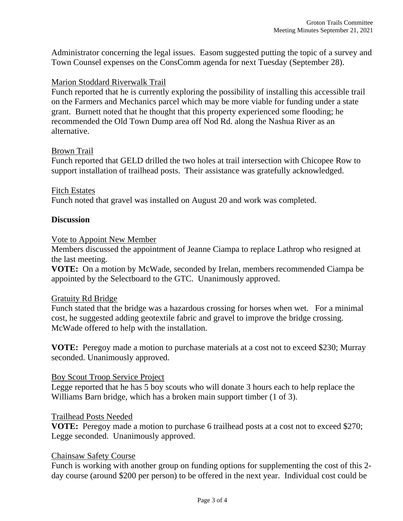Administrator concerning the legal issues. Easom suggested putting the topic of a survey and Town Counsel expenses on the ConsComm agenda for next Tuesday (September 28).

### Marion Stoddard Riverwalk Trail

Funch reported that he is currently exploring the possibility of installing this accessible trail on the Farmers and Mechanics parcel which may be more viable for funding under a state grant. Burnett noted that he thought that this property experienced some flooding; he recommended the Old Town Dump area off Nod Rd. along the Nashua River as an alternative.

#### Brown Trail

Funch reported that GELD drilled the two holes at trail intersection with Chicopee Row to support installation of trailhead posts. Their assistance was gratefully acknowledged.

#### Fitch Estates

Funch noted that gravel was installed on August 20 and work was completed.

#### **Discussion**

#### Vote to Appoint New Member

Members discussed the appointment of Jeanne Ciampa to replace Lathrop who resigned at the last meeting.

**VOTE:** On a motion by McWade, seconded by Irelan, members recommended Ciampa be appointed by the Selectboard to the GTC. Unanimously approved.

#### Gratuity Rd Bridge

Funch stated that the bridge was a hazardous crossing for horses when wet. For a minimal cost, he suggested adding geotextile fabric and gravel to improve the bridge crossing. McWade offered to help with the installation.

**VOTE:** Peregoy made a motion to purchase materials at a cost not to exceed \$230; Murray seconded. Unanimously approved.

#### Boy Scout Troop Service Project

Legge reported that he has 5 boy scouts who will donate 3 hours each to help replace the Williams Barn bridge, which has a broken main support timber (1 of 3).

#### Trailhead Posts Needed

**VOTE:** Peregoy made a motion to purchase 6 trailhead posts at a cost not to exceed \$270; Legge seconded. Unanimously approved.

#### Chainsaw Safety Course

Funch is working with another group on funding options for supplementing the cost of this 2 day course (around \$200 per person) to be offered in the next year. Individual cost could be